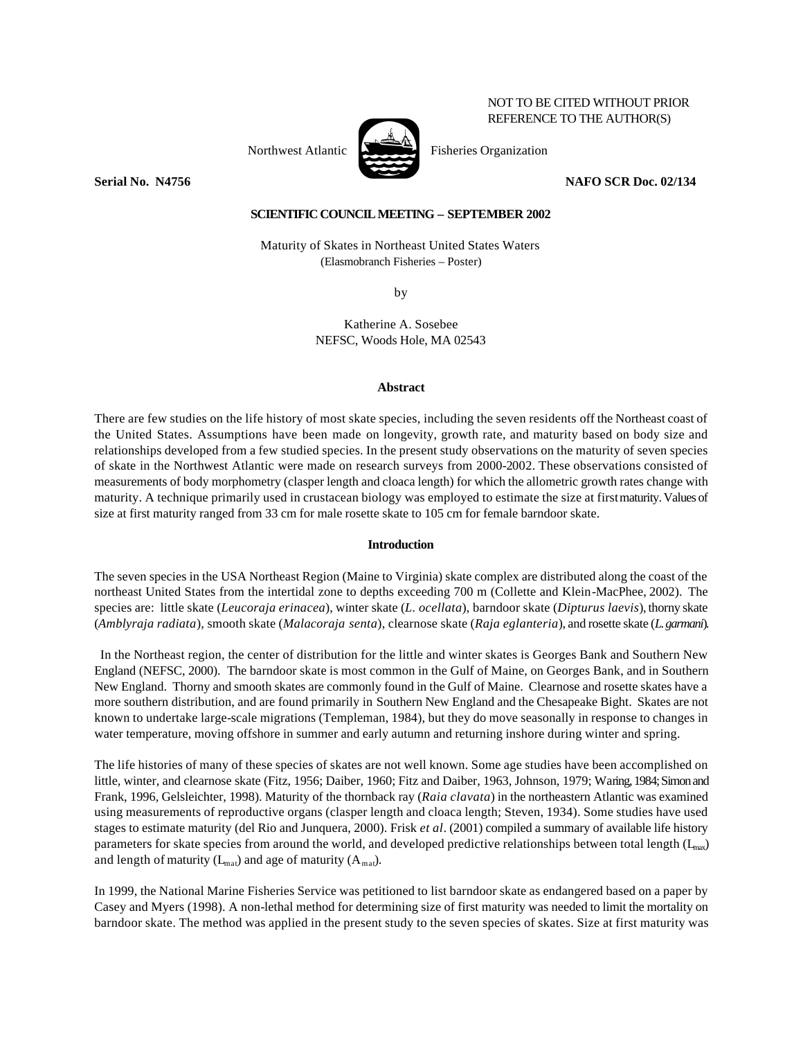# NOT TO BE CITED WITHOUT PRIOR REFERENCE TO THE AUTHOR(S)



Northwest Atlantic Fisheries Organization

**Serial No. N4756 NAFO SCR Doc. 02/134**

## **SCIENTIFIC COUNCIL MEETING – SEPTEMBER 2002**

Maturity of Skates in Northeast United States Waters (Elasmobranch Fisheries – Poster)

by

Katherine A. Sosebee NEFSC, Woods Hole, MA 02543

### **Abstract**

There are few studies on the life history of most skate species, including the seven residents off the Northeast coast of the United States. Assumptions have been made on longevity, growth rate, and maturity based on body size and relationships developed from a few studied species. In the present study observations on the maturity of seven species of skate in the Northwest Atlantic were made on research surveys from 2000-2002. These observations consisted of measurements of body morphometry (clasper length and cloaca length) for which the allometric growth rates change with maturity. A technique primarily used in crustacean biology was employed to estimate the size at first maturity. Values of size at first maturity ranged from 33 cm for male rosette skate to 105 cm for female barndoor skate.

## **Introduction**

The seven species in the USA Northeast Region (Maine to Virginia) skate complex are distributed along the coast of the northeast United States from the intertidal zone to depths exceeding 700 m (Collette and Klein-MacPhee, 2002). The species are: little skate (*Leucoraja erinacea*), winter skate (*L. ocellata*), barndoor skate (*Dipturus laevis*), thorny skate (*Amblyraja radiata*), smooth skate (*Malacoraja senta*), clearnose skate (*Raja eglanteria*), and rosette skate (*L. garmani*).

 In the Northeast region, the center of distribution for the little and winter skates is Georges Bank and Southern New England (NEFSC, 2000). The barndoor skate is most common in the Gulf of Maine, on Georges Bank, and in Southern New England. Thorny and smooth skates are commonly found in the Gulf of Maine. Clearnose and rosette skates have a more southern distribution, and are found primarily in Southern New England and the Chesapeake Bight. Skates are not known to undertake large-scale migrations (Templeman, 1984), but they do move seasonally in response to changes in water temperature, moving offshore in summer and early autumn and returning inshore during winter and spring.

The life histories of many of these species of skates are not well known. Some age studies have been accomplished on little, winter, and clearnose skate (Fitz, 1956; Daiber, 1960; Fitz and Daiber, 1963, Johnson, 1979; Waring, 1984; Simon and Frank, 1996, Gelsleichter, 1998). Maturity of the thornback ray (*Raia clavata*) in the northeastern Atlantic was examined using measurements of reproductive organs (clasper length and cloaca length; Steven, 1934). Some studies have used stages to estimate maturity (del Rio and Junquera, 2000). Frisk *et al*. (2001) compiled a summary of available life history parameters for skate species from around the world, and developed predictive relationships between total length  $(L_{max})$ and length of maturity  $(L_{\text{mat}})$  and age of maturity  $(A_{\text{mat}})$ .

In 1999, the National Marine Fisheries Service was petitioned to list barndoor skate as endangered based on a paper by Casey and Myers (1998). A non-lethal method for determining size of first maturity was needed to limit the mortality on barndoor skate. The method was applied in the present study to the seven species of skates. Size at first maturity was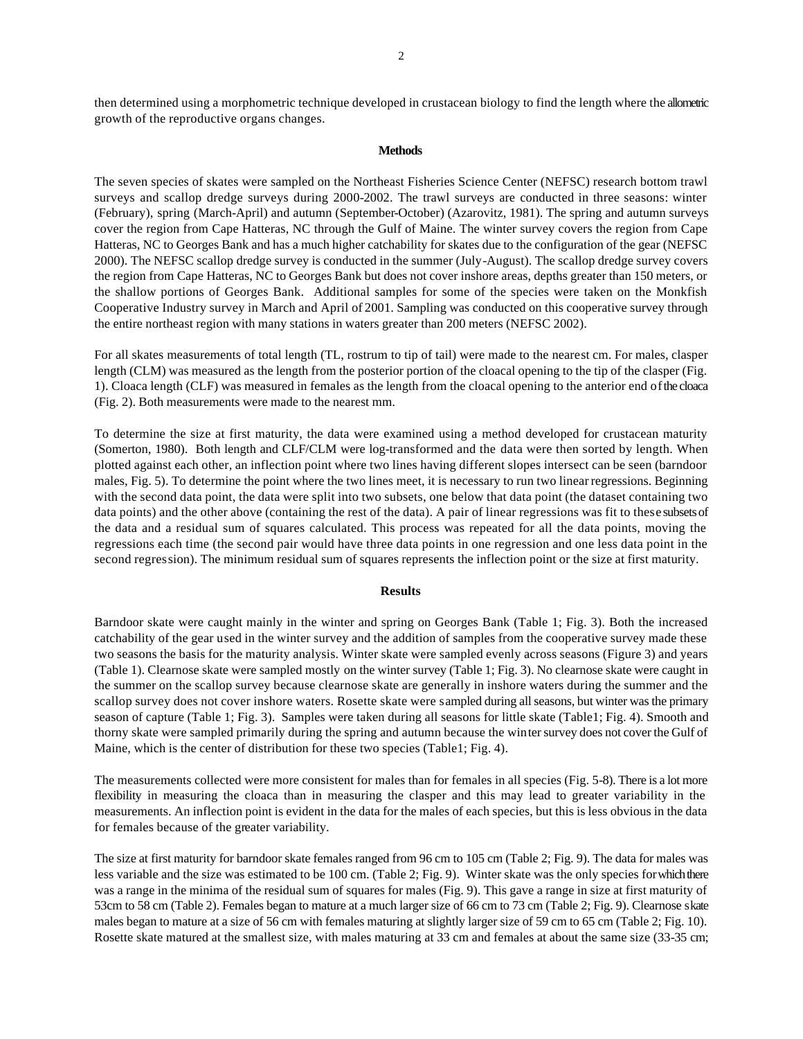then determined using a morphometric technique developed in crustacean biology to find the length where the allometric growth of the reproductive organs changes.

## **Methods**

The seven species of skates were sampled on the Northeast Fisheries Science Center (NEFSC) research bottom trawl surveys and scallop dredge surveys during 2000-2002. The trawl surveys are conducted in three seasons: winter (February), spring (March-April) and autumn (September-October) (Azarovitz, 1981). The spring and autumn surveys cover the region from Cape Hatteras, NC through the Gulf of Maine. The winter survey covers the region from Cape Hatteras, NC to Georges Bank and has a much higher catchability for skates due to the configuration of the gear (NEFSC 2000). The NEFSC scallop dredge survey is conducted in the summer (July-August). The scallop dredge survey covers the region from Cape Hatteras, NC to Georges Bank but does not cover inshore areas, depths greater than 150 meters, or the shallow portions of Georges Bank. Additional samples for some of the species were taken on the Monkfish Cooperative Industry survey in March and April of 2001. Sampling was conducted on this cooperative survey through the entire northeast region with many stations in waters greater than 200 meters (NEFSC 2002).

For all skates measurements of total length (TL, rostrum to tip of tail) were made to the nearest cm. For males, clasper length (CLM) was measured as the length from the posterior portion of the cloacal opening to the tip of the clasper (Fig. 1). Cloaca length (CLF) was measured in females as the length from the cloacal opening to the anterior end of the cloaca (Fig. 2). Both measurements were made to the nearest mm.

To determine the size at first maturity, the data were examined using a method developed for crustacean maturity (Somerton, 1980). Both length and CLF/CLM were log-transformed and the data were then sorted by length. When plotted against each other, an inflection point where two lines having different slopes intersect can be seen (barndoor males, Fig. 5). To determine the point where the two lines meet, it is necessary to run two linear regressions. Beginning with the second data point, the data were split into two subsets, one below that data point (the dataset containing two data points) and the other above (containing the rest of the data). A pair of linear regressions was fit to these subsets of the data and a residual sum of squares calculated. This process was repeated for all the data points, moving the regressions each time (the second pair would have three data points in one regression and one less data point in the second regression). The minimum residual sum of squares represents the inflection point or the size at first maturity.

#### **Results**

Barndoor skate were caught mainly in the winter and spring on Georges Bank (Table 1; Fig. 3). Both the increased catchability of the gear used in the winter survey and the addition of samples from the cooperative survey made these two seasons the basis for the maturity analysis. Winter skate were sampled evenly across seasons (Figure 3) and years (Table 1). Clearnose skate were sampled mostly on the winter survey (Table 1; Fig. 3). No clearnose skate were caught in the summer on the scallop survey because clearnose skate are generally in inshore waters during the summer and the scallop survey does not cover inshore waters. Rosette skate were sampled during all seasons, but winter was the primary season of capture (Table 1; Fig. 3). Samples were taken during all seasons for little skate (Table1; Fig. 4). Smooth and thorny skate were sampled primarily during the spring and autumn because the winter survey does not cover the Gulf of Maine, which is the center of distribution for these two species (Table1; Fig. 4).

The measurements collected were more consistent for males than for females in all species (Fig. 5-8). There is a lot more flexibility in measuring the cloaca than in measuring the clasper and this may lead to greater variability in the measurements. An inflection point is evident in the data for the males of each species, but this is less obvious in the data for females because of the greater variability.

The size at first maturity for barndoor skate females ranged from 96 cm to 105 cm (Table 2; Fig. 9). The data for males was less variable and the size was estimated to be 100 cm. (Table 2; Fig. 9). Winter skate was the only species for which there was a range in the minima of the residual sum of squares for males (Fig. 9). This gave a range in size at first maturity of 53cm to 58 cm (Table 2). Females began to mature at a much larger size of 66 cm to 73 cm (Table 2; Fig. 9). Clearnose skate males began to mature at a size of 56 cm with females maturing at slightly larger size of 59 cm to 65 cm (Table 2; Fig. 10). Rosette skate matured at the smallest size, with males maturing at 33 cm and females at about the same size (33-35 cm;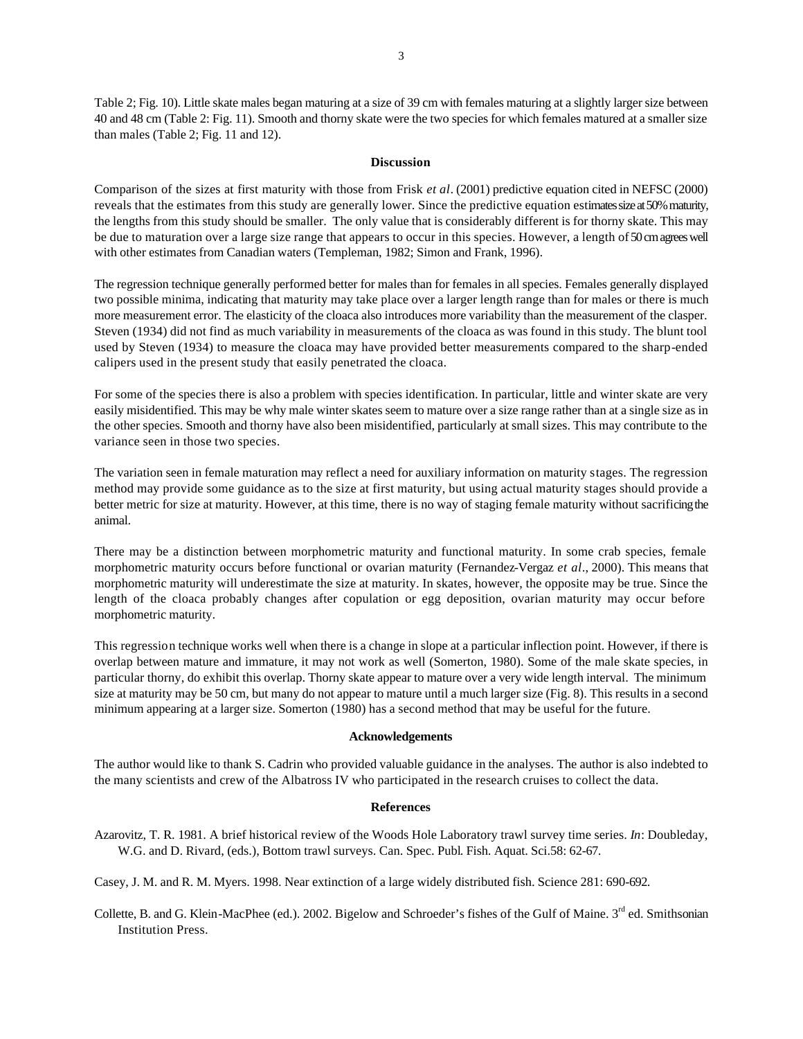Table 2; Fig. 10). Little skate males began maturing at a size of 39 cm with females maturing at a slightly larger size between 40 and 48 cm (Table 2: Fig. 11). Smooth and thorny skate were the two species for which females matured at a smaller size than males (Table 2; Fig. 11 and 12).

#### **Discussion**

Comparison of the sizes at first maturity with those from Frisk *et al*. (2001) predictive equation cited in NEFSC (2000) reveals that the estimates from this study are generally lower. Since the predictive equation estimates size at 50% maturity, the lengths from this study should be smaller. The only value that is considerably different is for thorny skate. This may be due to maturation over a large size range that appears to occur in this species. However, a length of 50 cm agrees well with other estimates from Canadian waters (Templeman, 1982; Simon and Frank, 1996).

The regression technique generally performed better for males than for females in all species. Females generally displayed two possible minima, indicating that maturity may take place over a larger length range than for males or there is much more measurement error. The elasticity of the cloaca also introduces more variability than the measurement of the clasper. Steven (1934) did not find as much variability in measurements of the cloaca as was found in this study. The blunt tool used by Steven (1934) to measure the cloaca may have provided better measurements compared to the sharp-ended calipers used in the present study that easily penetrated the cloaca.

For some of the species there is also a problem with species identification. In particular, little and winter skate are very easily misidentified. This may be why male winter skates seem to mature over a size range rather than at a single size as in the other species. Smooth and thorny have also been misidentified, particularly at small sizes. This may contribute to the variance seen in those two species.

The variation seen in female maturation may reflect a need for auxiliary information on maturity stages. The regression method may provide some guidance as to the size at first maturity, but using actual maturity stages should provide a better metric for size at maturity. However, at this time, there is no way of staging female maturity without sacrificing the animal.

There may be a distinction between morphometric maturity and functional maturity. In some crab species, female morphometric maturity occurs before functional or ovarian maturity (Fernandez-Vergaz *et al*., 2000). This means that morphometric maturity will underestimate the size at maturity. In skates, however, the opposite may be true. Since the length of the cloaca probably changes after copulation or egg deposition, ovarian maturity may occur before morphometric maturity.

This regression technique works well when there is a change in slope at a particular inflection point. However, if there is overlap between mature and immature, it may not work as well (Somerton, 1980). Some of the male skate species, in particular thorny, do exhibit this overlap. Thorny skate appear to mature over a very wide length interval. The minimum size at maturity may be 50 cm, but many do not appear to mature until a much larger size (Fig. 8). This results in a second minimum appearing at a larger size. Somerton (1980) has a second method that may be useful for the future.

#### **Acknowledgements**

The author would like to thank S. Cadrin who provided valuable guidance in the analyses. The author is also indebted to the many scientists and crew of the Albatross IV who participated in the research cruises to collect the data.

#### **References**

Azarovitz, T. R. 1981. A brief historical review of the Woods Hole Laboratory trawl survey time series. *In*: Doubleday, W.G. and D. Rivard, (eds.), Bottom trawl surveys. Can. Spec. Publ. Fish. Aquat. Sci.58: 62-67.

Casey, J. M. and R. M. Myers. 1998. Near extinction of a large widely distributed fish. Science 281: 690-692.

Collette, B. and G. Klein-MacPhee (ed.). 2002. Bigelow and Schroeder's fishes of the Gulf of Maine. 3<sup>rd</sup> ed. Smithsonian Institution Press.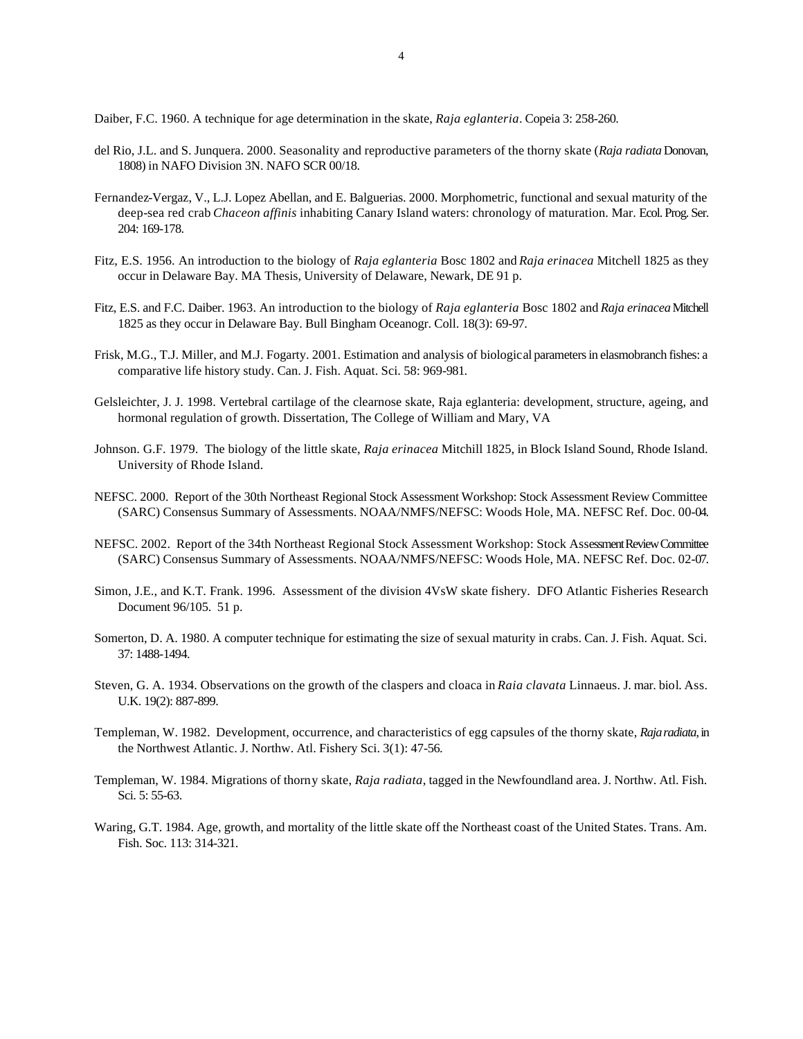Daiber, F.C. 1960. A technique for age determination in the skate, *Raja eglanteria*. Copeia 3: 258-260.

- del Rio, J.L. and S. Junquera. 2000. Seasonality and reproductive parameters of the thorny skate (*Raja radiata* Donovan, 1808) in NAFO Division 3N. NAFO SCR 00/18.
- Fernandez-Vergaz, V., L.J. Lopez Abellan, and E. Balguerias. 2000. Morphometric, functional and sexual maturity of the deep-sea red crab *Chaceon affinis* inhabiting Canary Island waters: chronology of maturation. Mar. Ecol. Prog. Ser. 204: 169-178.
- Fitz, E.S. 1956. An introduction to the biology of *Raja eglanteria* Bosc 1802 and *Raja erinacea* Mitchell 1825 as they occur in Delaware Bay. MA Thesis, University of Delaware, Newark, DE 91 p.
- Fitz, E.S. and F.C. Daiber. 1963. An introduction to the biology of *Raja eglanteria* Bosc 1802 and *Raja erinacea* Mitchell 1825 as they occur in Delaware Bay. Bull Bingham Oceanogr. Coll. 18(3): 69-97.
- Frisk, M.G., T.J. Miller, and M.J. Fogarty. 2001. Estimation and analysis of biological parameters in elasmobranch fishes: a comparative life history study. Can. J. Fish. Aquat. Sci. 58: 969-981.
- Gelsleichter, J. J. 1998. Vertebral cartilage of the clearnose skate, Raja eglanteria: development, structure, ageing, and hormonal regulation of growth. Dissertation, The College of William and Mary, VA
- Johnson. G.F. 1979. The biology of the little skate, *Raja erinacea* Mitchill 1825, in Block Island Sound, Rhode Island. University of Rhode Island.
- NEFSC. 2000. Report of the 30th Northeast Regional Stock Assessment Workshop: Stock Assessment Review Committee (SARC) Consensus Summary of Assessments. NOAA/NMFS/NEFSC: Woods Hole, MA. NEFSC Ref. Doc. 00-04.
- NEFSC. 2002. Report of the 34th Northeast Regional Stock Assessment Workshop: Stock Assessment Review Committee (SARC) Consensus Summary of Assessments. NOAA/NMFS/NEFSC: Woods Hole, MA. NEFSC Ref. Doc. 02-07.
- Simon, J.E., and K.T. Frank. 1996. Assessment of the division 4VsW skate fishery. DFO Atlantic Fisheries Research Document 96/105. 51 p.
- Somerton, D. A. 1980. A computer technique for estimating the size of sexual maturity in crabs. Can. J. Fish. Aquat. Sci. 37: 1488-1494.
- Steven, G. A. 1934. Observations on the growth of the claspers and cloaca in *Raia clavata* Linnaeus. J. mar. biol. Ass. U.K. 19(2): 887-899.
- Templeman, W. 1982. Development, occurrence, and characteristics of egg capsules of the thorny skate, *Raja radiata*, in the Northwest Atlantic. J. Northw. Atl. Fishery Sci. 3(1): 47-56.
- Templeman, W. 1984. Migrations of thorny skate, *Raja radiata*, tagged in the Newfoundland area. J. Northw. Atl. Fish. Sci. 5: 55-63.
- Waring, G.T. 1984. Age, growth, and mortality of the little skate off the Northeast coast of the United States. Trans. Am. Fish. Soc. 113: 314-321.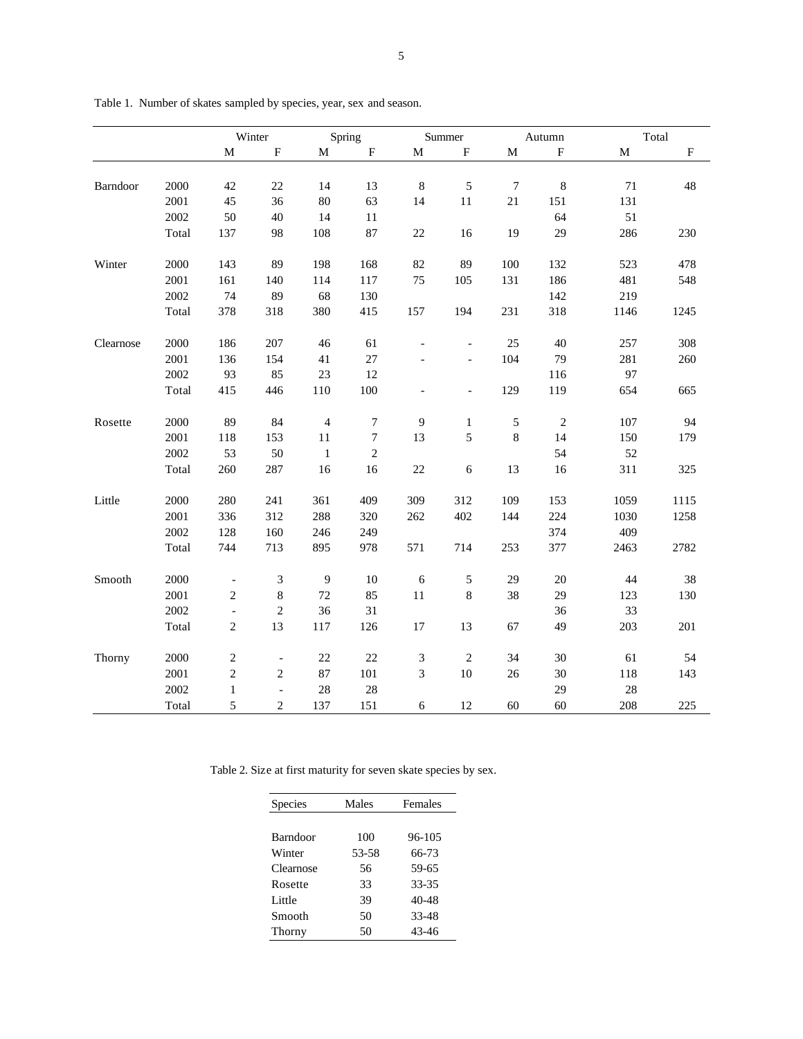|           |       | Winter                   |                          | Spring         |                | Summer                      |                          | Autumn           |            | Total |                           |
|-----------|-------|--------------------------|--------------------------|----------------|----------------|-----------------------------|--------------------------|------------------|------------|-------|---------------------------|
|           |       | M                        | ${\bf F}$                | M              | $\mathbf F$    | M                           | ${\bf F}$                | $\mathbf M$      | $\rm F$    | M     | $\boldsymbol{\mathrm{F}}$ |
|           |       |                          |                          |                |                |                             |                          |                  |            |       |                           |
| Barndoor  | 2000  | 42                       | 22                       | 14             | 13             | $\,8\,$                     | $\sqrt{5}$               | $\boldsymbol{7}$ | $\,8\,$    | 71    | 48                        |
|           | 2001  | 45                       | 36                       | 80             | 63             | 14                          | 11                       | 21               | 151        | 131   |                           |
|           | 2002  | 50                       | 40                       | 14             | 11             |                             |                          |                  | 64         | 51    |                           |
|           | Total | 137                      | 98                       | 108            | 87             | $22\,$                      | 16                       | 19               | 29         | 286   | 230                       |
| Winter    | 2000  | 143                      | 89                       | 198            | 168            | 82                          | 89                       | 100              | 132        | 523   | 478                       |
|           | 2001  | 161                      | 140                      | 114            | 117            | 75                          | 105                      | 131              | 186        | 481   | 548                       |
|           | 2002  | 74                       | 89                       | 68             | 130            |                             |                          |                  | 142        | 219   |                           |
|           | Total | 378                      | 318                      | 380            | 415            | 157                         | 194                      | 231              | 318        | 1146  | 1245                      |
| Clearnose | 2000  | 186                      | 207                      | 46             | 61             |                             | $\overline{\phantom{a}}$ | 25               | 40         | 257   | 308                       |
|           | 2001  | 136                      | 154                      | 41             | 27             |                             | $\overline{\phantom{a}}$ | 104              | 79         | 281   | 260                       |
|           | 2002  | 93                       | 85                       | 23             | 12             |                             |                          |                  | 116        | 97    |                           |
|           | Total | 415                      | 446                      | 110            | 100            | $\overline{\phantom{a}}$    | $\overline{\phantom{a}}$ | 129              | 119        | 654   | 665                       |
| Rosette   | 2000  | 89                       | 84                       | $\overline{4}$ | 7              | $\overline{9}$              | $\mathbf{1}$             | $\sqrt{5}$       | $\sqrt{2}$ | 107   | 94                        |
|           | 2001  | 118                      | 153                      | 11             | 7              | 13                          | 5                        | $\,$ 8 $\,$      | 14         | 150   | 179                       |
|           | 2002  | 53                       | 50                       | $\mathbf{1}$   | $\overline{c}$ |                             |                          |                  | 54         | 52    |                           |
|           | Total | 260                      | 287                      | 16             | 16             | $22\,$                      | $\sqrt{6}$               | 13               | 16         | 311   | 325                       |
| Little    | 2000  | 280                      | 241                      | 361            | 409            | 309                         | 312                      | 109              | 153        | 1059  | 1115                      |
|           | 2001  | 336                      | 312                      | 288            | 320            | 262                         | 402                      | 144              | 224        | 1030  | 1258                      |
|           | 2002  | 128                      | 160                      | 246            | 249            |                             |                          |                  | 374        | 409   |                           |
|           | Total | 744                      | 713                      | 895            | 978            | 571                         | 714                      | 253              | 377        | 2463  | 2782                      |
| Smooth    | 2000  | $\overline{\phantom{a}}$ | 3                        | 9              | 10             | $\sqrt{6}$                  | $\sqrt{5}$               | 29               | $20\,$     | 44    | 38                        |
|           | 2001  | $\sqrt{2}$               | $8\,$                    | 72             | 85             | $11\,$                      | $\,8\,$                  | 38               | 29         | 123   | 130                       |
|           | 2002  | $\frac{1}{2}$            | $\overline{c}$           | 36             | 31             |                             |                          |                  | 36         | 33    |                           |
|           | Total | $\overline{c}$           | 13                       | 117            | 126            | $17\,$                      | 13                       | 67               | 49         | 203   | 201                       |
|           |       |                          |                          |                |                |                             |                          |                  |            |       |                           |
| Thorny    | 2000  | $\overline{c}$           | $\overline{\phantom{a}}$ | 22             | 22             | $\mathfrak{Z}$              | $\sqrt{2}$               | 34               | 30         | 61    | 54                        |
|           | 2001  | $\sqrt{2}$               | $\sqrt{2}$               | 87             | 101            | $\ensuremath{\mathfrak{Z}}$ | $10\,$                   | $26\,$           | 30         | 118   | 143                       |
|           | 2002  | $\mathbf{1}$             | $\overline{a}$           | 28             | 28             |                             |                          |                  | 29         | 28    |                           |
|           | Total | 5                        | $\overline{2}$           | 137            | 151            | 6                           | 12                       | 60               | 60         | 208   | 225                       |

Table 1. Number of skates sampled by species, year, sex and season.

Table 2. Size at first maturity for seven skate species by sex.

| Species   | Males | Females |  |  |
|-----------|-------|---------|--|--|
|           |       |         |  |  |
| Barndoor  | 100   | 96-105  |  |  |
| Winter    | 53-58 | 66-73   |  |  |
| Clearnose | 56    | 59-65   |  |  |
| Rosette   | 33    | 33-35   |  |  |
| Little    | 39    | 40-48   |  |  |
| Smooth    | 50    | 33-48   |  |  |
| Thorny    | 50    | 43-46   |  |  |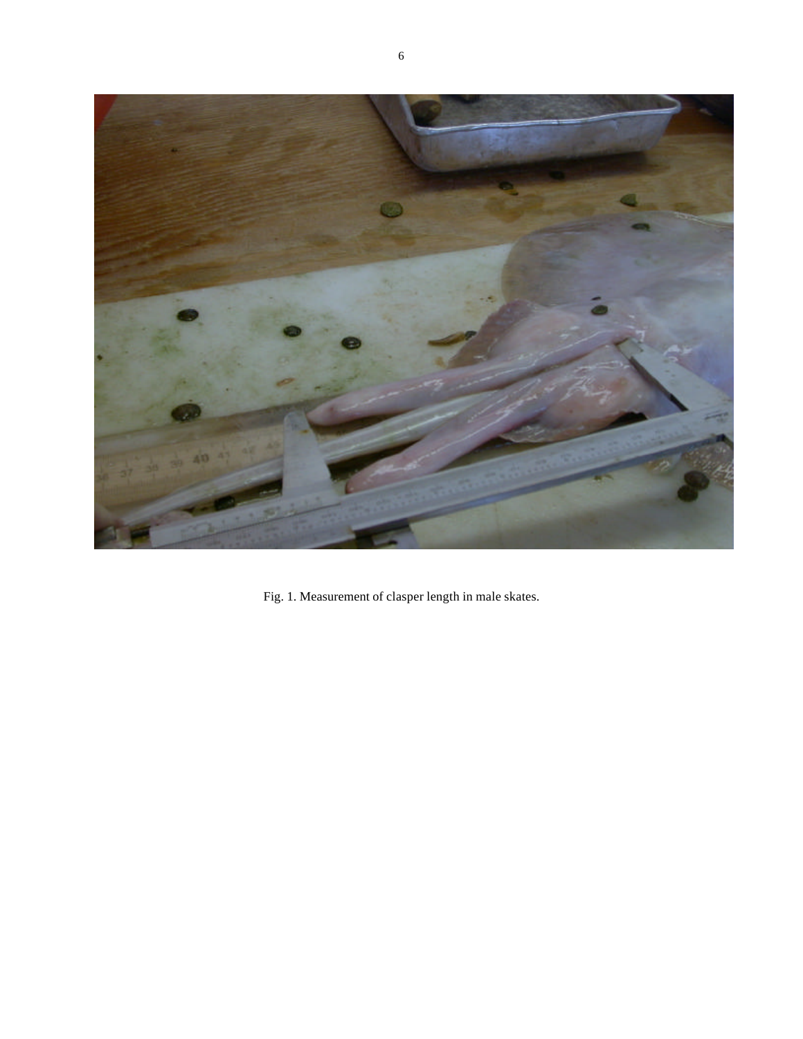

Fig. 1. Measurement of clasper length in male skates.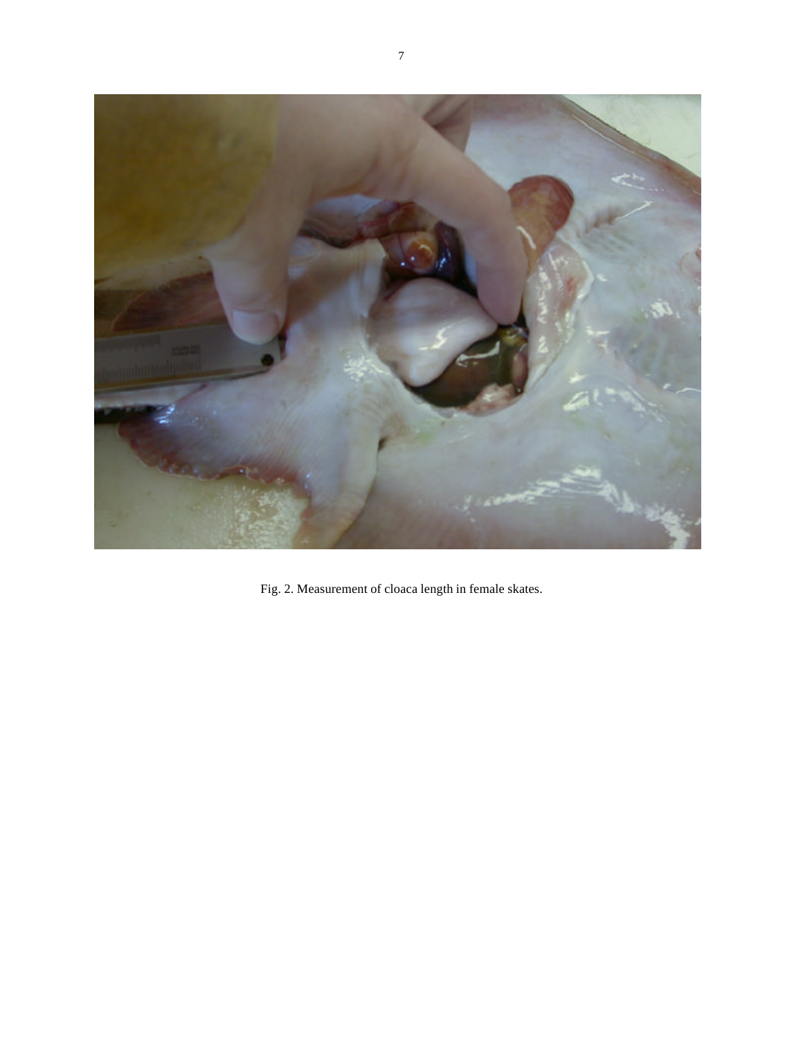

Fig. 2. Measurement of cloaca length in female skates.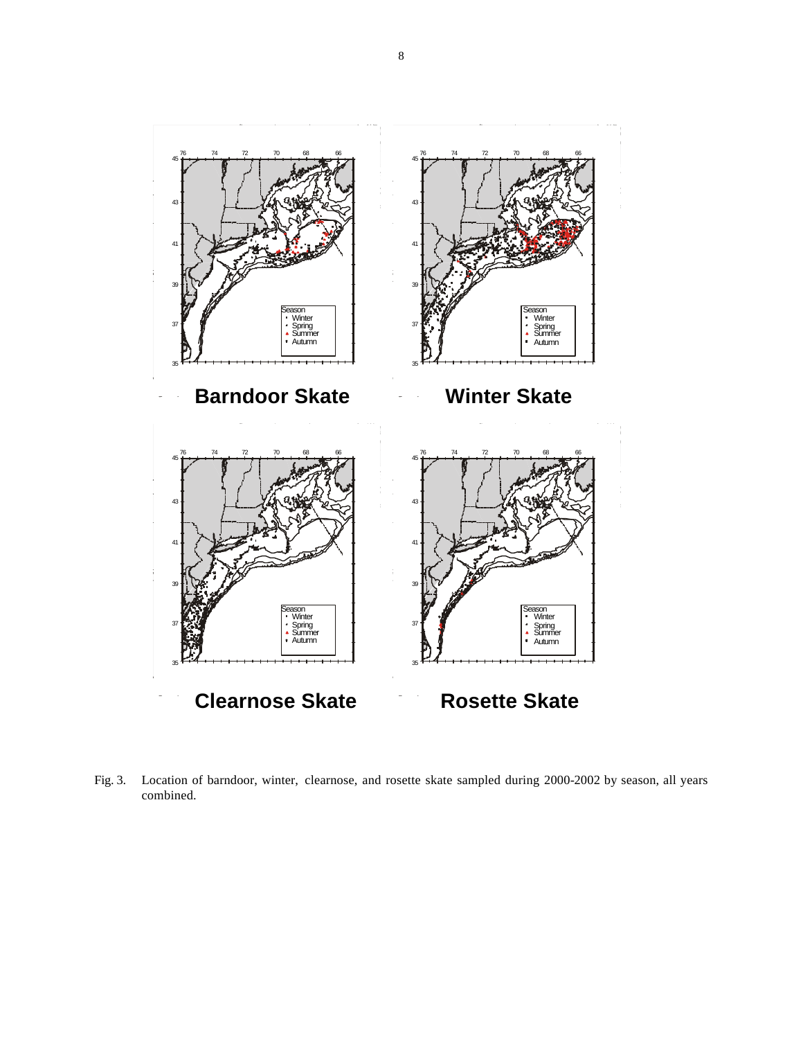

Fig. 3. Location of barndoor, winter, clearnose, and rosette skate sampled during 2000-2002 by season, all years combined.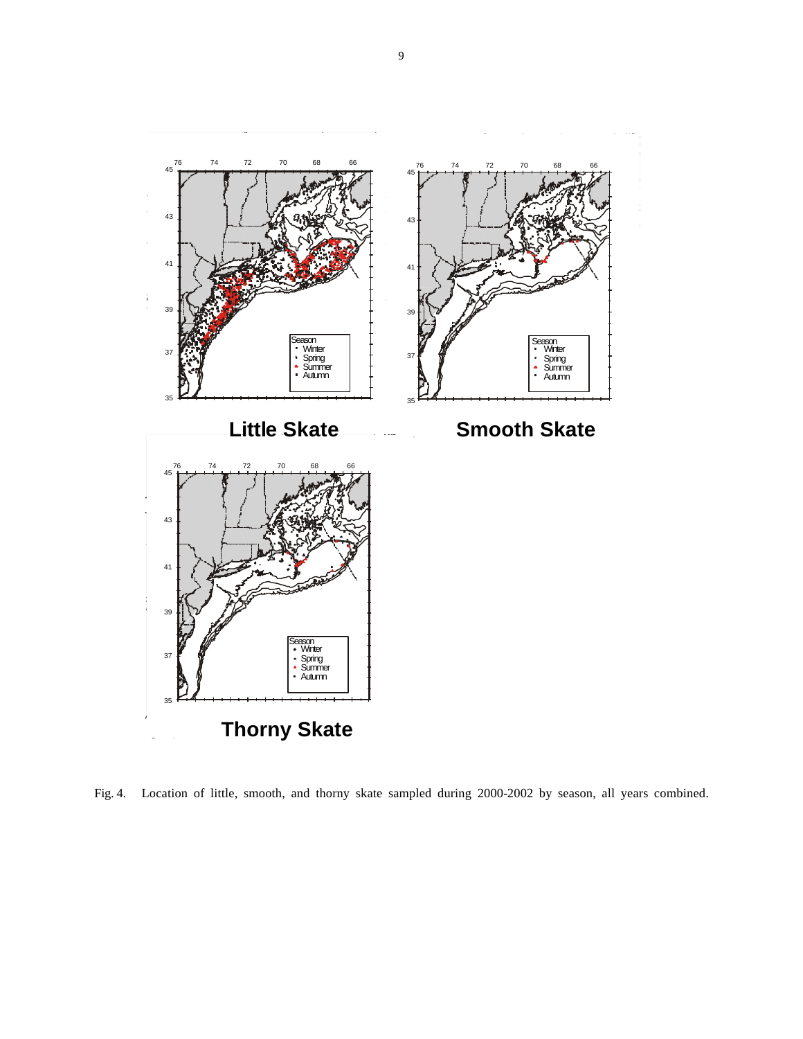

Fig. 4. Location of little, smooth, and thorny skate sampled during 2000-2002 by season, all years combined.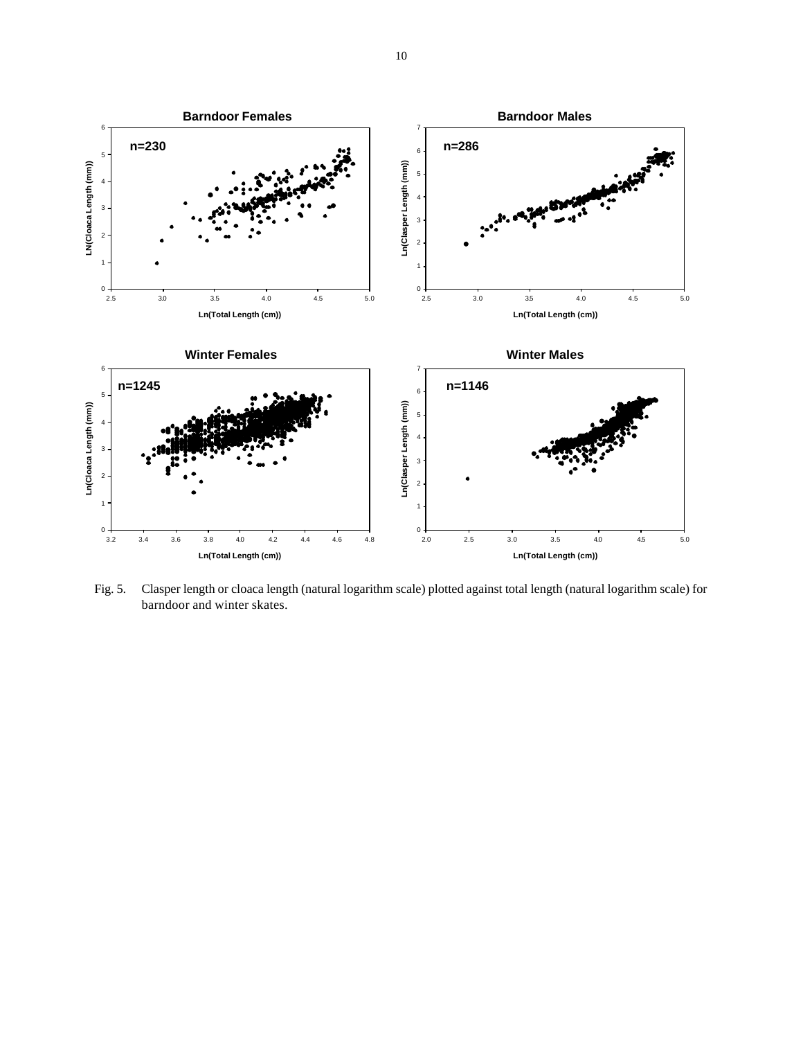

Fig. 5. Clasper length or cloaca length (natural logarithm scale) plotted against total length (natural logarithm scale) for barndoor and winter skates.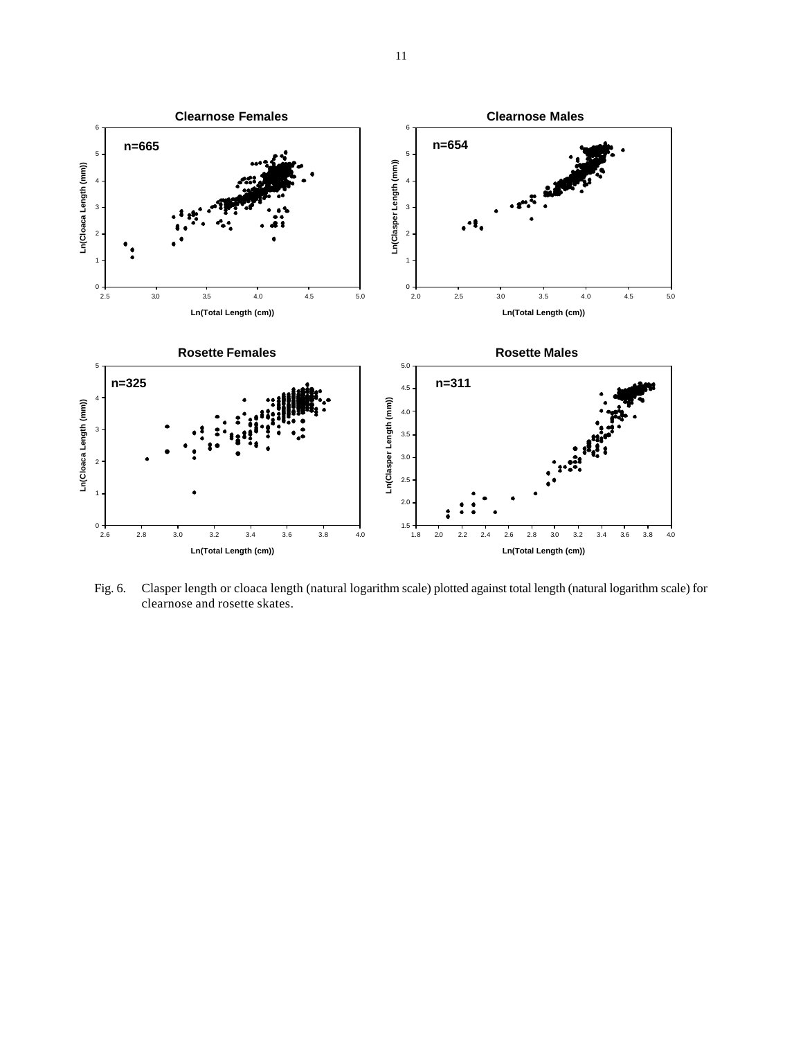

Fig. 6. Clasper length or cloaca length (natural logarithm scale) plotted against total length (natural logarithm scale) for clearnose and rosette skates.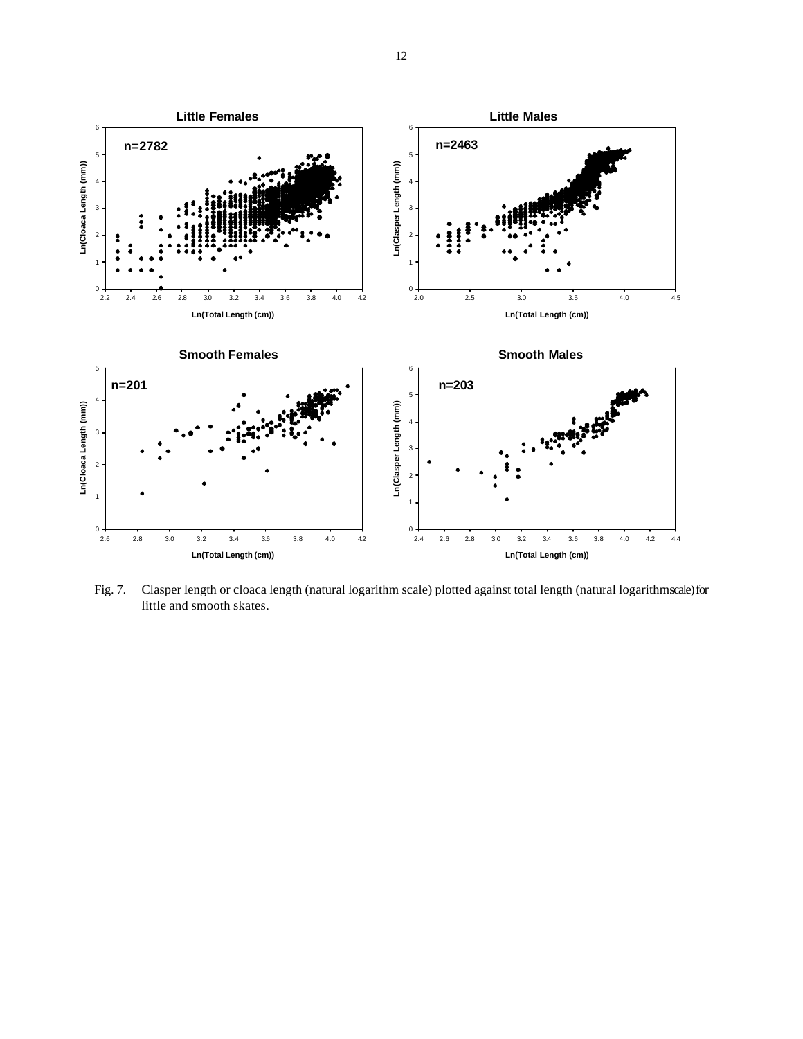

Fig. 7. Clasper length or cloaca length (natural logarithm scale) plotted against total length (natural logarithm scale) for little and smooth skates.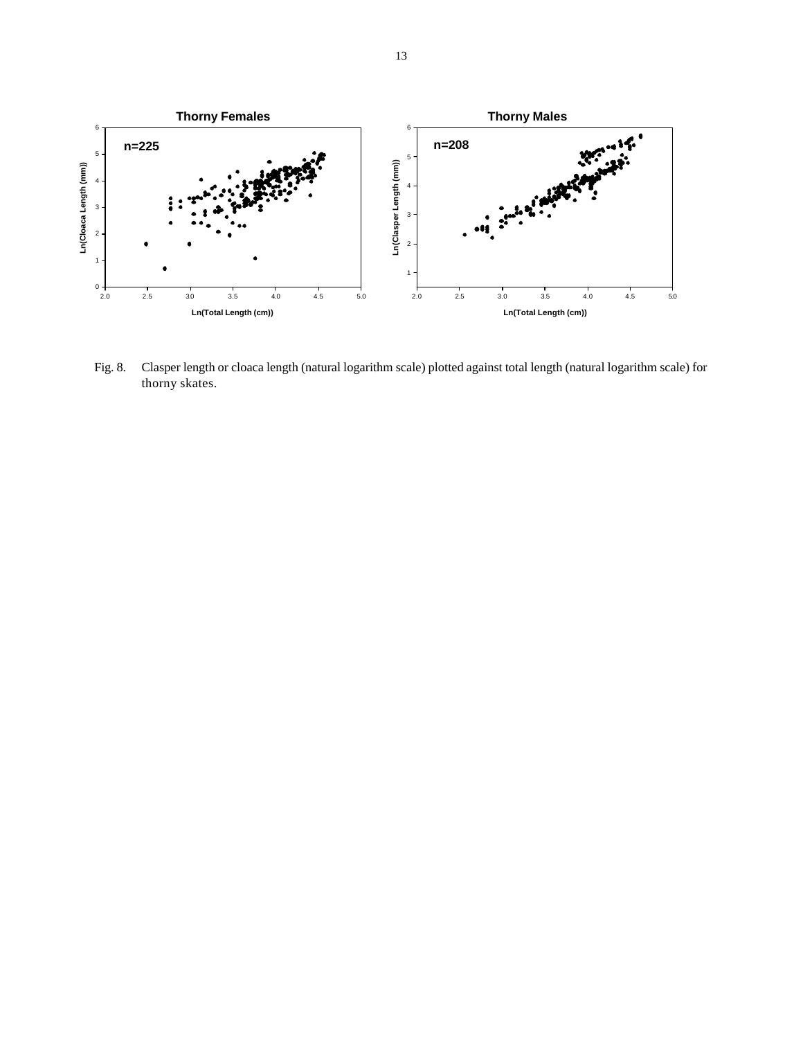

Fig. 8. Clasper length or cloaca length (natural logarithm scale) plotted against total length (natural logarithm scale) for thorny skates.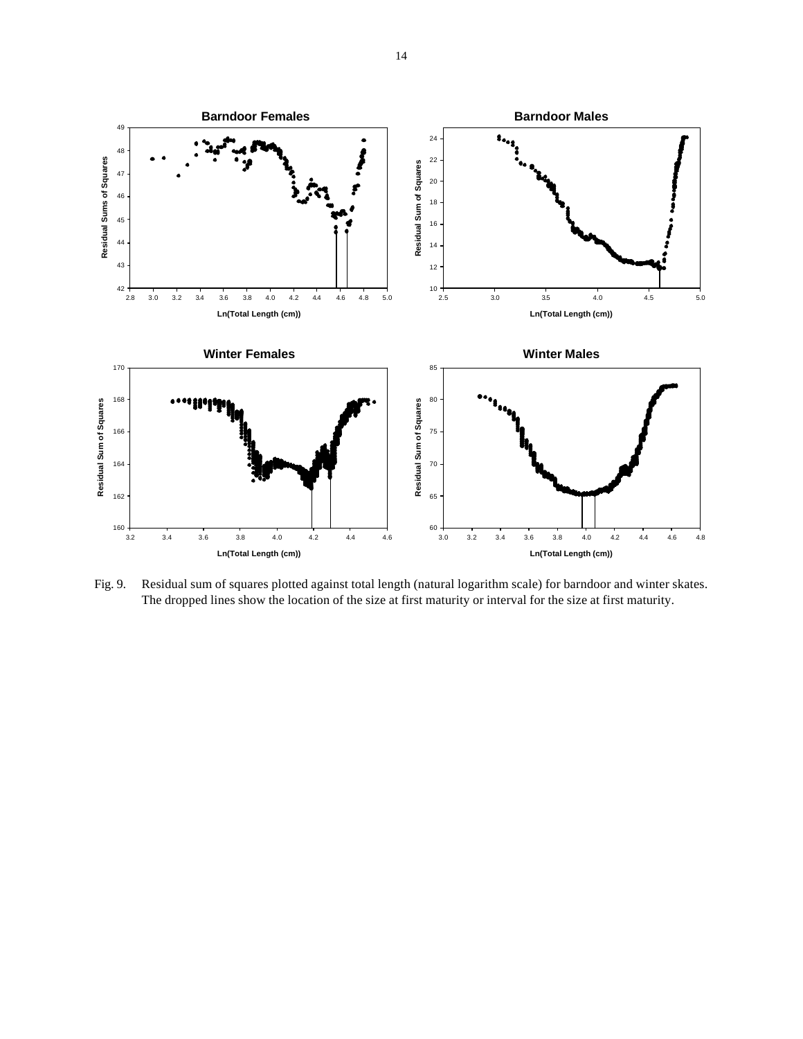

Fig. 9. Residual sum of squares plotted against total length (natural logarithm scale) for barndoor and winter skates. The dropped lines show the location of the size at first maturity or interval for the size at first maturity.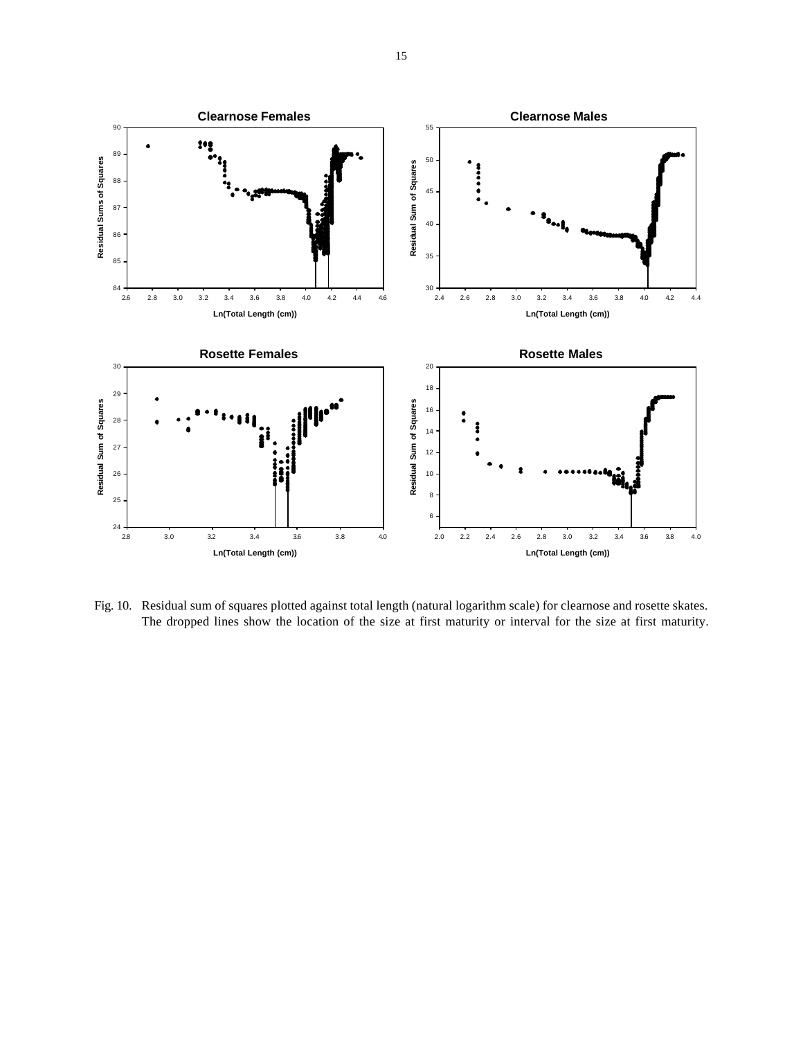

Fig. 10. Residual sum of squares plotted against total length (natural logarithm scale) for clearnose and rosette skates. The dropped lines show the location of the size at first maturity or interval for the size at first maturity.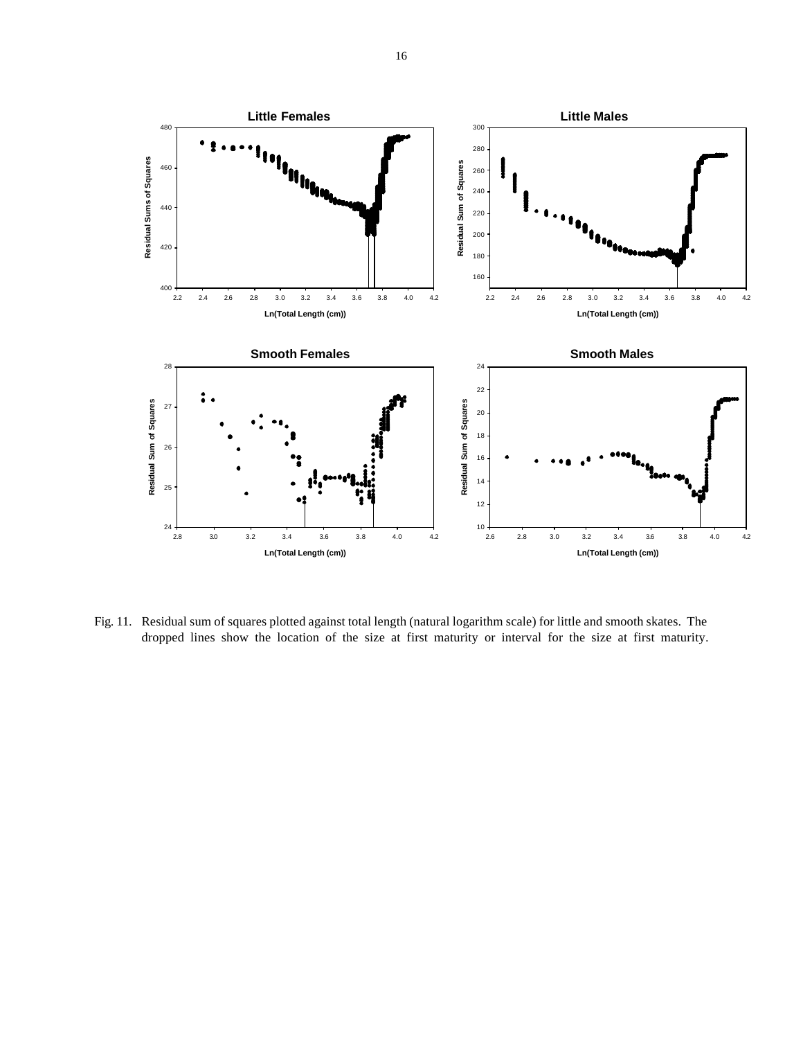

Fig. 11. Residual sum of squares plotted against total length (natural logarithm scale) for little and smooth skates. The dropped lines show the location of the size at first maturity or interval for the size at first maturity.